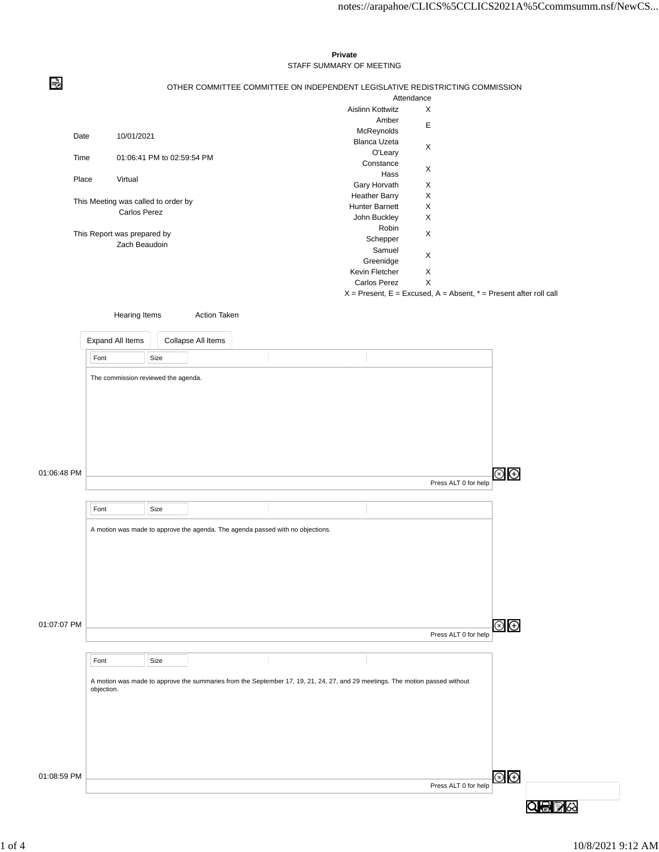## В OTHER COMMITTEE COMMITTEE ON INDEPENDENT LEGISLATIVE REDISTRICTING COMMISSION Attendance Aislinn Kottwitz X Amber Amber<br>McReynolds E Date 10/01/2021 Blanca Uzeta O'Leary <sup>X</sup> Time 01:06:41 PM to 02:59:54 PM Constance Hass X Place Virtual Gary Horvath X Heather Barry X This Meeting was called to order by Hunter Barnett X Carlos Perez John Buckley X Robin This Report was prepared by Schepper X Zach Beaudoin Samuel Samuer X<br>Greenidge X Kevin Fletcher X Carlos Perez X  $X =$  Present,  $E =$  Excused,  $A =$  Absent,  $* =$  Present after roll call Hearing Items **Action Taken** Expand All Items Collapse All Items Font Size The commission reviewed the agenda. 01:06:48 PM  $\circledast$ Press ALT 0 for help Font Size A motion was made to approve the agenda. The agenda passed with no objections. 01:07:07 PM ⊗<br>⊕ Press ALT 0 for help Font Size A motion was made to approve the summaries from the September 17, 19, 21, 24, 27, and 29 meetings. The motion passed without objection.  $\circledcirc$   $\circledcirc$ 01:08:59 PM

## **Private** STAFF SUMMARY OF MEETING

Q骨髪☆

Press ALT 0 for help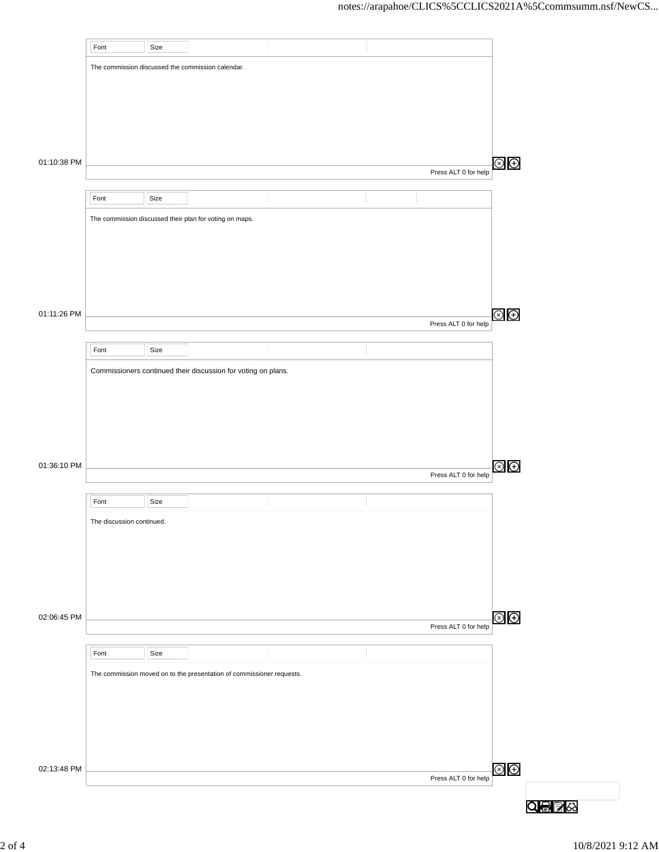|             | Font                      | Size |                                                                       |  |                      |                |
|-------------|---------------------------|------|-----------------------------------------------------------------------|--|----------------------|----------------|
|             |                           |      | The commission discussed the commission calendar.                     |  |                      |                |
|             |                           |      |                                                                       |  |                      |                |
|             |                           |      |                                                                       |  |                      |                |
|             |                           |      |                                                                       |  |                      |                |
|             |                           |      |                                                                       |  |                      |                |
|             |                           |      |                                                                       |  |                      |                |
| 01:10:38 PM |                           |      |                                                                       |  |                      | $\circledast$  |
|             |                           |      |                                                                       |  | Press ALT 0 for help |                |
|             | Font                      | Size |                                                                       |  |                      |                |
|             |                           |      |                                                                       |  |                      |                |
|             |                           |      | The commission discussed their plan for voting on maps.               |  |                      |                |
|             |                           |      |                                                                       |  |                      |                |
|             |                           |      |                                                                       |  |                      |                |
|             |                           |      |                                                                       |  |                      |                |
|             |                           |      |                                                                       |  |                      |                |
|             |                           |      |                                                                       |  |                      |                |
| 01:11:26 PM |                           |      |                                                                       |  | Press ALT 0 for help | $\circledcirc$ |
|             |                           |      |                                                                       |  |                      |                |
|             | Font                      | Size |                                                                       |  |                      |                |
|             |                           |      | Commissioners continued their discussion for voting on plans.         |  |                      |                |
|             |                           |      |                                                                       |  |                      |                |
|             |                           |      |                                                                       |  |                      |                |
|             |                           |      |                                                                       |  |                      |                |
|             |                           |      |                                                                       |  |                      |                |
|             |                           |      |                                                                       |  |                      |                |
| 01:36:10 PM |                           |      |                                                                       |  |                      | $\circledast$  |
|             |                           |      |                                                                       |  | Press ALT 0 for help |                |
|             | Font                      | Size |                                                                       |  |                      |                |
|             |                           |      |                                                                       |  |                      |                |
|             | The discussion continued. |      |                                                                       |  |                      |                |
|             |                           |      |                                                                       |  |                      |                |
|             |                           |      |                                                                       |  |                      |                |
|             |                           |      |                                                                       |  |                      |                |
|             |                           |      |                                                                       |  |                      |                |
|             |                           |      |                                                                       |  |                      |                |
| 02:06:45 PM |                           |      |                                                                       |  | Press ALT 0 for help | $\circledast$  |
|             |                           |      |                                                                       |  |                      |                |
|             | Font                      | Size |                                                                       |  |                      |                |
|             |                           |      | The commission moved on to the presentation of commissioner requests. |  |                      |                |
|             |                           |      |                                                                       |  |                      |                |
|             |                           |      |                                                                       |  |                      |                |
|             |                           |      |                                                                       |  |                      |                |
|             |                           |      |                                                                       |  |                      |                |
|             |                           |      |                                                                       |  |                      |                |
| 02:13:48 PM |                           |      |                                                                       |  |                      | $\circledcirc$ |
|             |                           |      |                                                                       |  | Press ALT 0 for help |                |
|             |                           |      |                                                                       |  |                      |                |
|             |                           |      |                                                                       |  |                      | Q⊜B≫           |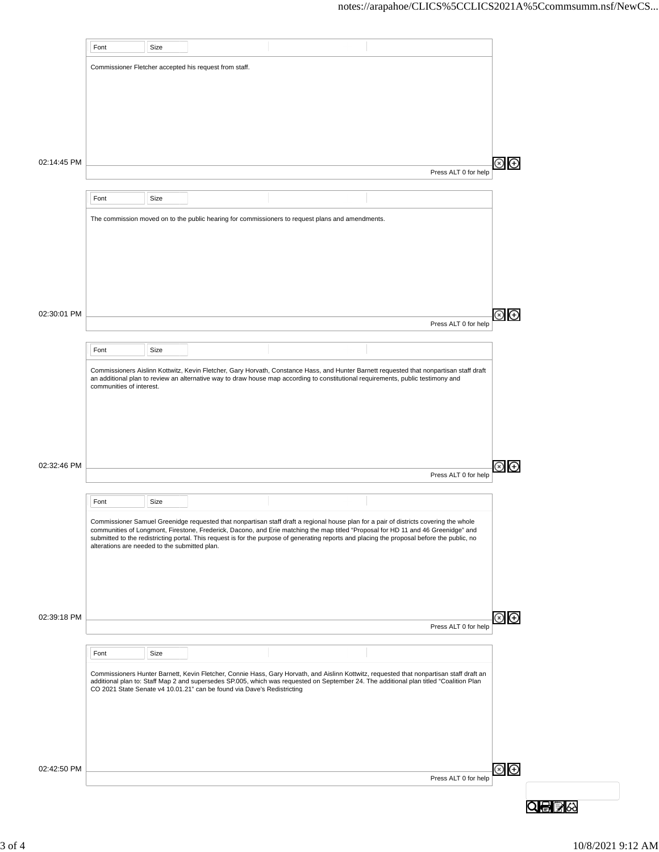|                            | Font                                                   | Size |                                                                         |                                                                                                                                                                                                                                                                            |  |                                                                                                                                          |  |  |  |  |
|----------------------------|--------------------------------------------------------|------|-------------------------------------------------------------------------|----------------------------------------------------------------------------------------------------------------------------------------------------------------------------------------------------------------------------------------------------------------------------|--|------------------------------------------------------------------------------------------------------------------------------------------|--|--|--|--|
|                            |                                                        |      |                                                                         |                                                                                                                                                                                                                                                                            |  |                                                                                                                                          |  |  |  |  |
|                            | Commissioner Fletcher accepted his request from staff. |      |                                                                         |                                                                                                                                                                                                                                                                            |  |                                                                                                                                          |  |  |  |  |
|                            |                                                        |      |                                                                         |                                                                                                                                                                                                                                                                            |  |                                                                                                                                          |  |  |  |  |
|                            |                                                        |      |                                                                         |                                                                                                                                                                                                                                                                            |  |                                                                                                                                          |  |  |  |  |
|                            |                                                        |      |                                                                         |                                                                                                                                                                                                                                                                            |  |                                                                                                                                          |  |  |  |  |
|                            |                                                        |      |                                                                         |                                                                                                                                                                                                                                                                            |  |                                                                                                                                          |  |  |  |  |
|                            |                                                        |      |                                                                         |                                                                                                                                                                                                                                                                            |  |                                                                                                                                          |  |  |  |  |
| 02:14:45 PM                |                                                        |      |                                                                         |                                                                                                                                                                                                                                                                            |  |                                                                                                                                          |  |  |  |  |
|                            |                                                        |      |                                                                         |                                                                                                                                                                                                                                                                            |  | Press ALT 0 for help                                                                                                                     |  |  |  |  |
|                            | Font                                                   | Size |                                                                         |                                                                                                                                                                                                                                                                            |  |                                                                                                                                          |  |  |  |  |
|                            |                                                        |      |                                                                         |                                                                                                                                                                                                                                                                            |  |                                                                                                                                          |  |  |  |  |
|                            |                                                        |      |                                                                         | The commission moved on to the public hearing for commissioners to request plans and amendments.                                                                                                                                                                           |  |                                                                                                                                          |  |  |  |  |
|                            |                                                        |      |                                                                         |                                                                                                                                                                                                                                                                            |  |                                                                                                                                          |  |  |  |  |
|                            |                                                        |      |                                                                         |                                                                                                                                                                                                                                                                            |  |                                                                                                                                          |  |  |  |  |
|                            |                                                        |      |                                                                         |                                                                                                                                                                                                                                                                            |  |                                                                                                                                          |  |  |  |  |
|                            |                                                        |      |                                                                         |                                                                                                                                                                                                                                                                            |  |                                                                                                                                          |  |  |  |  |
|                            |                                                        |      |                                                                         |                                                                                                                                                                                                                                                                            |  |                                                                                                                                          |  |  |  |  |
| 02:30:01 PM                |                                                        |      |                                                                         |                                                                                                                                                                                                                                                                            |  |                                                                                                                                          |  |  |  |  |
|                            |                                                        |      |                                                                         |                                                                                                                                                                                                                                                                            |  | Press ALT 0 for help                                                                                                                     |  |  |  |  |
|                            |                                                        |      |                                                                         |                                                                                                                                                                                                                                                                            |  |                                                                                                                                          |  |  |  |  |
|                            | Font                                                   | Size |                                                                         |                                                                                                                                                                                                                                                                            |  |                                                                                                                                          |  |  |  |  |
|                            |                                                        |      |                                                                         |                                                                                                                                                                                                                                                                            |  | Commissioners Aislinn Kottwitz, Kevin Fletcher, Gary Horvath, Constance Hass, and Hunter Barnett requested that nonpartisan staff draft  |  |  |  |  |
|                            |                                                        |      |                                                                         | an additional plan to review an alternative way to draw house map according to constitutional requirements, public testimony and                                                                                                                                           |  |                                                                                                                                          |  |  |  |  |
|                            | communities of interest.                               |      |                                                                         |                                                                                                                                                                                                                                                                            |  |                                                                                                                                          |  |  |  |  |
|                            |                                                        |      |                                                                         |                                                                                                                                                                                                                                                                            |  |                                                                                                                                          |  |  |  |  |
|                            |                                                        |      |                                                                         |                                                                                                                                                                                                                                                                            |  |                                                                                                                                          |  |  |  |  |
|                            |                                                        |      |                                                                         |                                                                                                                                                                                                                                                                            |  |                                                                                                                                          |  |  |  |  |
|                            |                                                        |      |                                                                         |                                                                                                                                                                                                                                                                            |  |                                                                                                                                          |  |  |  |  |
|                            |                                                        |      |                                                                         |                                                                                                                                                                                                                                                                            |  |                                                                                                                                          |  |  |  |  |
|                            |                                                        |      |                                                                         |                                                                                                                                                                                                                                                                            |  |                                                                                                                                          |  |  |  |  |
|                            |                                                        |      |                                                                         |                                                                                                                                                                                                                                                                            |  | Press ALT 0 for help                                                                                                                     |  |  |  |  |
|                            |                                                        |      |                                                                         |                                                                                                                                                                                                                                                                            |  |                                                                                                                                          |  |  |  |  |
|                            | Font                                                   | Size |                                                                         |                                                                                                                                                                                                                                                                            |  |                                                                                                                                          |  |  |  |  |
|                            |                                                        |      |                                                                         |                                                                                                                                                                                                                                                                            |  |                                                                                                                                          |  |  |  |  |
|                            |                                                        |      |                                                                         | Commissioner Samuel Greenidge requested that nonpartisan staff draft a regional house plan for a pair of districts covering the whole<br>communities of Longmont, Firestone, Frederick, Dacono, and Erie matching the map titled "Proposal for HD 11 and 46 Greenidge" and |  |                                                                                                                                          |  |  |  |  |
|                            | alterations are needed to the submitted plan.          |      |                                                                         | submitted to the redistricting portal. This request is for the purpose of generating reports and placing the proposal before the public, no                                                                                                                                |  |                                                                                                                                          |  |  |  |  |
|                            |                                                        |      |                                                                         |                                                                                                                                                                                                                                                                            |  |                                                                                                                                          |  |  |  |  |
|                            |                                                        |      |                                                                         |                                                                                                                                                                                                                                                                            |  |                                                                                                                                          |  |  |  |  |
|                            |                                                        |      |                                                                         |                                                                                                                                                                                                                                                                            |  |                                                                                                                                          |  |  |  |  |
|                            |                                                        |      |                                                                         |                                                                                                                                                                                                                                                                            |  |                                                                                                                                          |  |  |  |  |
|                            |                                                        |      |                                                                         |                                                                                                                                                                                                                                                                            |  |                                                                                                                                          |  |  |  |  |
| 02:32:46 PM<br>02:39:18 PM |                                                        |      |                                                                         |                                                                                                                                                                                                                                                                            |  | Press ALT 0 for help                                                                                                                     |  |  |  |  |
|                            |                                                        |      |                                                                         |                                                                                                                                                                                                                                                                            |  |                                                                                                                                          |  |  |  |  |
|                            | Font                                                   | Size |                                                                         |                                                                                                                                                                                                                                                                            |  |                                                                                                                                          |  |  |  |  |
|                            |                                                        |      |                                                                         |                                                                                                                                                                                                                                                                            |  |                                                                                                                                          |  |  |  |  |
|                            |                                                        |      |                                                                         | additional plan to: Staff Map 2 and supersedes SP.005, which was requested on September 24. The additional plan titled "Coalition Plan                                                                                                                                     |  | Commissioners Hunter Barnett, Kevin Fletcher, Connie Hass, Gary Horvath, and Aislinn Kottwitz, requested that nonpartisan staff draft an |  |  |  |  |
|                            |                                                        |      | CO 2021 State Senate v4 10.01.21" can be found via Dave's Redistricting |                                                                                                                                                                                                                                                                            |  |                                                                                                                                          |  |  |  |  |
|                            |                                                        |      |                                                                         |                                                                                                                                                                                                                                                                            |  |                                                                                                                                          |  |  |  |  |
|                            |                                                        |      |                                                                         |                                                                                                                                                                                                                                                                            |  |                                                                                                                                          |  |  |  |  |
|                            |                                                        |      |                                                                         |                                                                                                                                                                                                                                                                            |  |                                                                                                                                          |  |  |  |  |
|                            |                                                        |      |                                                                         |                                                                                                                                                                                                                                                                            |  |                                                                                                                                          |  |  |  |  |
|                            |                                                        |      |                                                                         |                                                                                                                                                                                                                                                                            |  |                                                                                                                                          |  |  |  |  |
|                            |                                                        |      |                                                                         |                                                                                                                                                                                                                                                                            |  | Press ALT 0 for help                                                                                                                     |  |  |  |  |
| 02:42:50 PM                |                                                        |      |                                                                         |                                                                                                                                                                                                                                                                            |  |                                                                                                                                          |  |  |  |  |